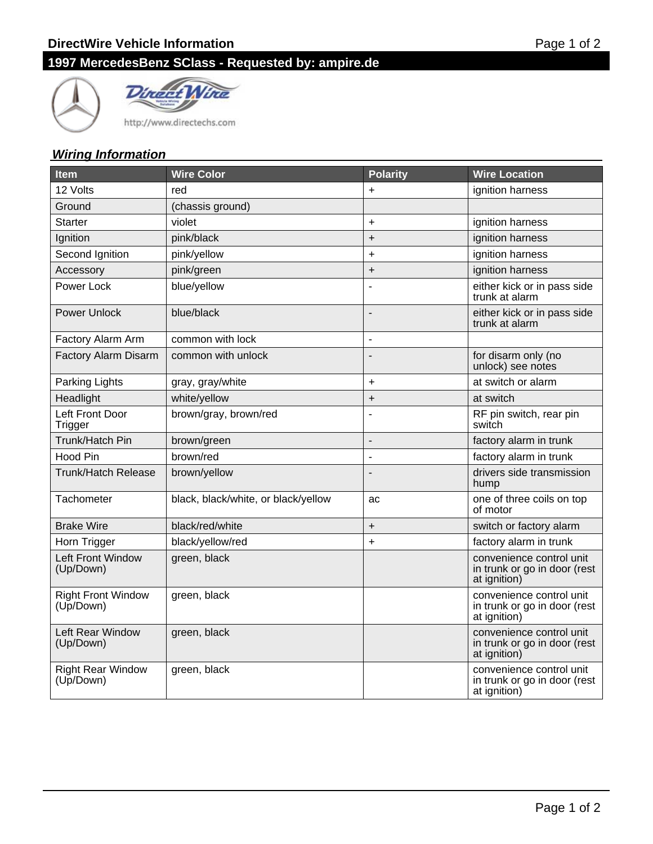# **1997 MercedesBenz SClass - Requested by: ampire.de**





http://www.directechs.com

### **Wiring Information**

| <b>Item</b>                            | <b>Wire Color</b>                   | <b>Polarity</b> | <b>Wire Location</b>                                                     |
|----------------------------------------|-------------------------------------|-----------------|--------------------------------------------------------------------------|
| 12 Volts                               | red                                 | $\ddot{}$       | ignition harness                                                         |
| Ground                                 | (chassis ground)                    |                 |                                                                          |
| <b>Starter</b>                         | violet                              | $\ddot{}$       | ignition harness                                                         |
| Ignition                               | pink/black                          | $\ddot{}$       | ignition harness                                                         |
| Second Ignition                        | pink/yellow                         | $\ddot{}$       | ignition harness                                                         |
| Accessory                              | pink/green                          | $\ddot{}$       | ignition harness                                                         |
| Power Lock                             | blue/yellow                         |                 | either kick or in pass side<br>trunk at alarm                            |
| <b>Power Unlock</b>                    | blue/black                          | $\overline{a}$  | either kick or in pass side<br>trunk at alarm                            |
| Factory Alarm Arm                      | common with lock                    | ÷,              |                                                                          |
| <b>Factory Alarm Disarm</b>            | common with unlock                  |                 | for disarm only (no<br>unlock) see notes                                 |
| Parking Lights                         | gray, gray/white                    | $\ddot{}$       | at switch or alarm                                                       |
| Headlight                              | white/yellow                        | $\ddot{}$       | at switch                                                                |
| Left Front Door<br>Trigger             | brown/gray, brown/red               |                 | RF pin switch, rear pin<br>switch                                        |
| Trunk/Hatch Pin                        | brown/green                         |                 | factory alarm in trunk                                                   |
| Hood Pin                               | brown/red                           | $\overline{a}$  | factory alarm in trunk                                                   |
| <b>Trunk/Hatch Release</b>             | brown/yellow                        |                 | drivers side transmission<br>hump                                        |
| Tachometer                             | black, black/white, or black/yellow | ac              | one of three coils on top<br>of motor                                    |
| <b>Brake Wire</b>                      | black/red/white                     | $\ddot{}$       | switch or factory alarm                                                  |
| Horn Trigger                           | black/yellow/red                    | $\ddot{}$       | factory alarm in trunk                                                   |
| Left Front Window<br>(Up/Down)         | green, black                        |                 | convenience control unit<br>in trunk or go in door (rest<br>at ignition) |
| <b>Right Front Window</b><br>(Up/Down) | green, black                        |                 | convenience control unit<br>in trunk or go in door (rest<br>at ignition) |
| Left Rear Window<br>(Up/Down)          | green, black                        |                 | convenience control unit<br>in trunk or go in door (rest<br>at ignition) |
| <b>Right Rear Window</b><br>(Up/Down)  | green, black                        |                 | convenience control unit<br>in trunk or go in door (rest<br>at ignition) |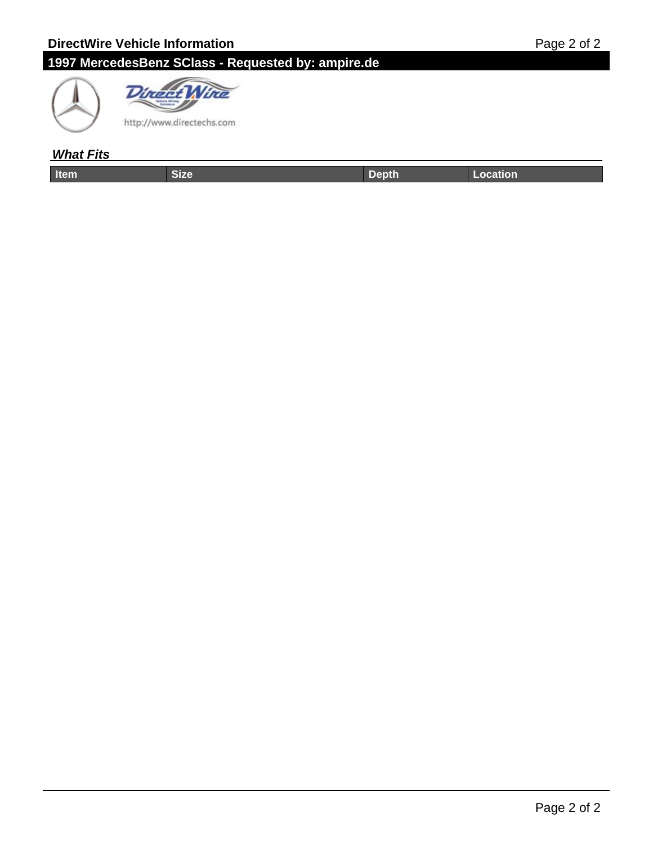# **1997 MercedesBenz SClass - Requested by: ampire.de**





## **What Fits**

| ----- | . | والمستنب المتأمل المتناسبات المستحدث |
|-------|---|--------------------------------------|
|       |   |                                      |